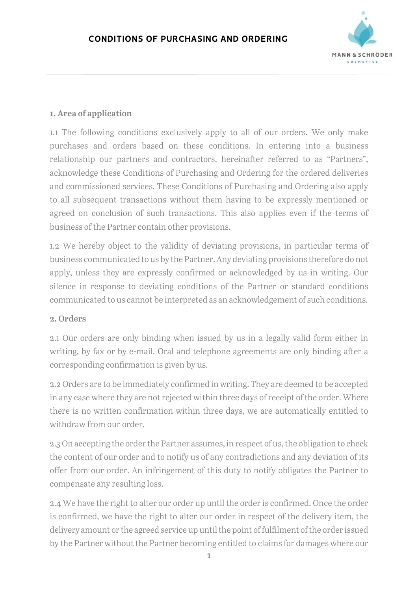

### 1. Area of application

1.1 The following conditions exclusively apply to all of our orders. We only make purchases and orders based on these conditions. In entering into a business relationship our partners and contractors, hereinafter referred to as "Partners", acknowledge these Conditions of Purchasing and Ordering for the ordered deliveries and commissioned services. These Conditions of Purchasing and Ordering also apply to all subsequent transactions without them having to be expressly mentioned or agreed on conclusion of such transactions. This also applies even if the terms of business of the Partner contain other provisions.

1.2 We hereby object to the validity of deviating provisions, in particular terms of business communicated to us by the Partner. Any deviating provisions therefore do not apply, unless they are expressly confirmed or acknowledged by us in writing. Our silence in response to deviating conditions of the Partner or standard conditions communicated to us cannot be interpreted as an acknowledgement of such conditions.

#### 2. Orders

2.1 Our orders are only binding when issued by us in a legally valid form either in writing, by fax or by e-mail. Oral and telephone agreements are only binding after a corresponding confirmation is given by us.

2.2 Orders are to be immediately confirmed in writing. They are deemed to be accepted in any case where they are not rejected within three days of receipt of the order. Where there is no written confirmation within three days, we are automatically entitled to withdraw from our order.

2.3 On accepting the order the Partner assumes, in respect of us, the obligation to check the content of our order and to notify us of any contradictions and any deviation of its offer from our order. An infringement of this duty to notify obligates the Partner to compensate any resulting loss.

2.4 We have the right to alter our order up until the order is confirmed. Once the order is confirmed, we have the right to alter our order in respect of the delivery item, the delivery amount or the agreed service up until the point of fulfilment of the order issued by the Partner without the Partner becoming entitled to claims for damages where our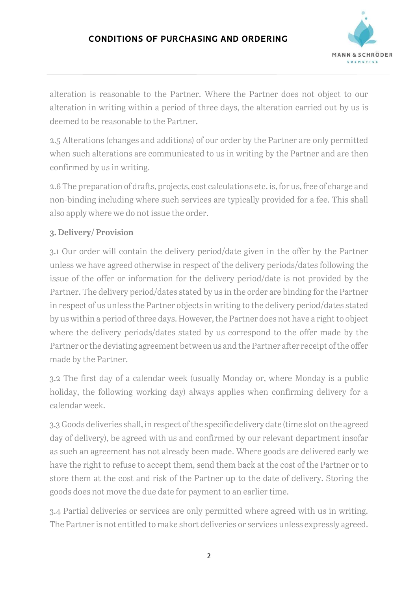

alteration is reasonable to the Partner. Where the Partner does not object to our alteration in writing within a period of three days, the alteration carried out by us is deemed to be reasonable to the Partner.

2.5 Alterations (changes and additions) of our order by the Partner are only permitted when such alterations are communicated to us in writing by the Partner and are then confirmed by us in writing.

2.6 The preparation of drafts, projects, cost calculations etc. is, for us, free of charge and non-binding including where such services are typically provided for a fee. This shall also apply where we do not issue the order.

# 3. Delivery/ Provision

3.1 Our order will contain the delivery period/date given in the offer by the Partner unless we have agreed otherwise in respect of the delivery periods/dates following the issue of the offer or information for the delivery period/date is not provided by the Partner. The delivery period/dates stated by us in the order are binding for the Partner in respect of us unless the Partner objects in writing to the delivery period/dates stated by us within a period of three days. However, the Partner does not have a right to object where the delivery periods/dates stated by us correspond to the offer made by the Partner or the deviating agreement between us and the Partner after receipt of the offer made by the Partner.

3.2 The first day of a calendar week (usually Monday or, where Monday is a public holiday, the following working day) always applies when confirming delivery for a calendar week.

3.3 Goods deliveries shall, in respect of the specific delivery date (time slot on the agreed day of delivery), be agreed with us and confirmed by our relevant department insofar as such an agreement has not already been made. Where goods are delivered early we have the right to refuse to accept them, send them back at the cost of the Partner or to store them at the cost and risk of the Partner up to the date of delivery. Storing the goods does not move the due date for payment to an earlier time.

3.4 Partial deliveries or services are only permitted where agreed with us in writing. The Partner is not entitled to make short deliveries or services unless expressly agreed.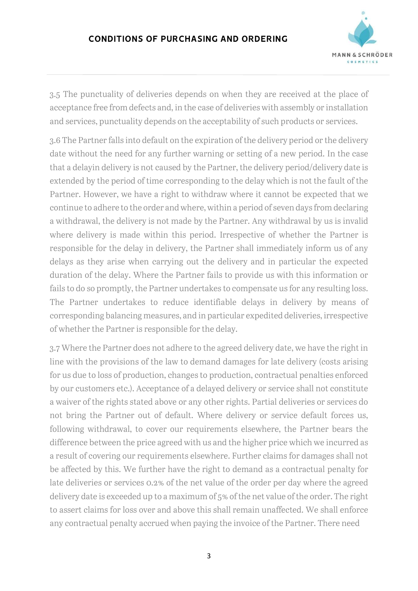# CONDITIONS OF PURCHASING AND ORDERING



3.5 The punctuality of deliveries depends on when they are received at the place of acceptance free from defects and, in the case of deliveries with assembly or installation and services, punctuality depends on the acceptability of such products or services.

3.6 The Partner falls into default on the expiration of the delivery period or the delivery date without the need for any further warning or setting of a new period. In the case that a delayin delivery is not caused by the Partner, the delivery period/delivery date is extended by the period of time corresponding to the delay which is not the fault of the Partner. However, we have a right to withdraw where it cannot be expected that we continue to adhere to the order and where, within a period of seven days from declaring a withdrawal, the delivery is not made by the Partner. Any withdrawal by us is invalid where delivery is made within this period. Irrespective of whether the Partner is responsible for the delay in delivery, the Partner shall immediately inform us of any delays as they arise when carrying out the delivery and in particular the expected duration of the delay. Where the Partner fails to provide us with this information or fails to do so promptly, the Partner undertakes to compensate us for any resulting loss. The Partner undertakes to reduce identifiable delays in delivery by means of corresponding balancing measures, and in particular expedited deliveries, irrespective of whether the Partner is responsible for the delay.

3.7 Where the Partner does not adhere to the agreed delivery date, we have the right in line with the provisions of the law to demand damages for late delivery (costs arising for us due to loss of production, changes to production, contractual penalties enforced by our customers etc.). Acceptance of a delayed delivery or service shall not constitute a waiver of the rights stated above or any other rights. Partial deliveries or services do not bring the Partner out of default. Where delivery or service default forces us, following withdrawal, to cover our requirements elsewhere, the Partner bears the difference between the price agreed with us and the higher price which we incurred as a result of covering our requirements elsewhere. Further claims for damages shall not be affected by this. We further have the right to demand as a contractual penalty for late deliveries or services 0.2% of the net value of the order per day where the agreed delivery date is exceeded up to a maximum of 5% of the net value of the order. The right to assert claims for loss over and above this shall remain unaffected. We shall enforce any contractual penalty accrued when paying the invoice of the Partner. There need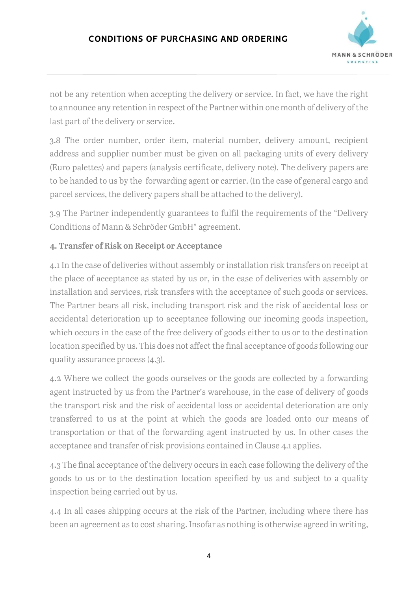

not be any retention when accepting the delivery or service. In fact, we have the right to announce any retention in respect of the Partner within one month of delivery of the last part of the delivery or service.

3.8 The order number, order item, material number, delivery amount, recipient address and supplier number must be given on all packaging units of every delivery (Euro palettes) and papers (analysis certificate, delivery note). The delivery papers are to be handed to us by the forwarding agent or carrier. (In the case of general cargo and parcel services, the delivery papers shall be attached to the delivery).

3.9 The Partner independently guarantees to fulfil the requirements of the "Delivery Conditions of Mann & Schröder GmbH" agreement.

# 4. Transfer of Risk on Receipt or Acceptance

4.1 In the case of deliveries without assembly or installation risk transfers on receipt at the place of acceptance as stated by us or, in the case of deliveries with assembly or installation and services, risk transfers with the acceptance of such goods or services. The Partner bears all risk, including transport risk and the risk of accidental loss or accidental deterioration up to acceptance following our incoming goods inspection, which occurs in the case of the free delivery of goods either to us or to the destination location specified by us. This does not affect the final acceptance of goods following our quality assurance process (4.3).

4.2 Where we collect the goods ourselves or the goods are collected by a forwarding agent instructed by us from the Partner's warehouse, in the case of delivery of goods the transport risk and the risk of accidental loss or accidental deterioration are only transferred to us at the point at which the goods are loaded onto our means of transportation or that of the forwarding agent instructed by us. In other cases the acceptance and transfer of risk provisions contained in Clause 4.1 applies.

4.3 The final acceptance of the delivery occurs in each case following the delivery of the goods to us or to the destination location specified by us and subject to a quality inspection being carried out by us.

4.4 In all cases shipping occurs at the risk of the Partner, including where there has been an agreement as to cost sharing. Insofar as nothing is otherwise agreed in writing,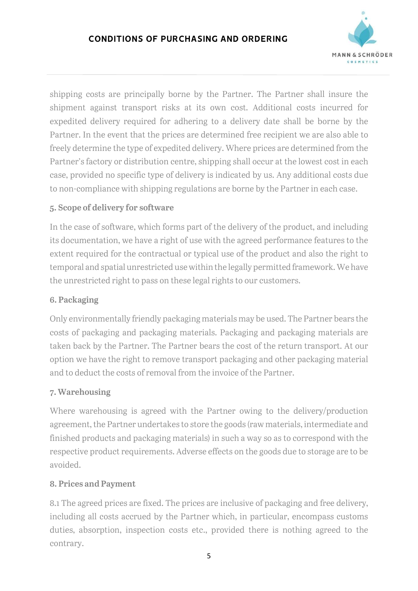

shipping costs are principally borne by the Partner. The Partner shall insure the shipment against transport risks at its own cost. Additional costs incurred for expedited delivery required for adhering to a delivery date shall be borne by the Partner. In the event that the prices are determined free recipient we are also able to freely determine the type of expedited delivery. Where prices are determined from the Partner's factory or distribution centre, shipping shall occur at the lowest cost in each case, provided no specific type of delivery is indicated by us. Any additional costs due to non-compliance with shipping regulations are borne by the Partner in each case.

# 5. Scope of delivery for software

In the case of software, which forms part of the delivery of the product, and including its documentation, we have a right of use with the agreed performance features to the extent required for the contractual or typical use of the product and also the right to temporal and spatial unrestricted use within the legally permitted framework. We have the unrestricted right to pass on these legal rights to our customers.

# 6. Packaging

Only environmentally friendly packaging materials may be used. The Partner bears the costs of packaging and packaging materials. Packaging and packaging materials are taken back by the Partner. The Partner bears the cost of the return transport. At our option we have the right to remove transport packaging and other packaging material and to deduct the costs of removal from the invoice of the Partner.

# 7. Warehousing

Where warehousing is agreed with the Partner owing to the delivery/production agreement, the Partner undertakes to store the goods (raw materials, intermediate and finished products and packaging materials) in such a way so as to correspond with the respective product requirements. Adverse effects on the goods due to storage are to be avoided.

# 8. Prices and Payment

8.1 The agreed prices are fixed. The prices are inclusive of packaging and free delivery, including all costs accrued by the Partner which, in particular, encompass customs duties, absorption, inspection costs etc., provided there is nothing agreed to the contrary.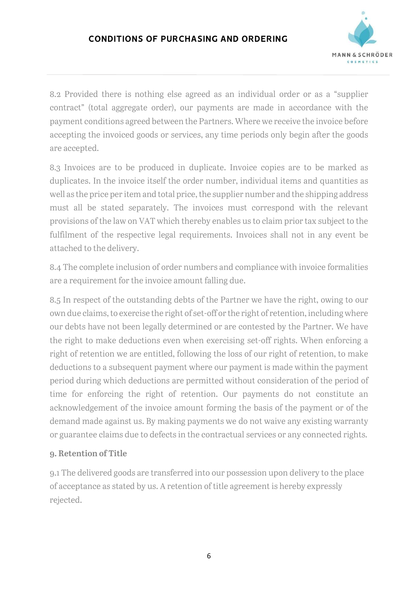

8.2 Provided there is nothing else agreed as an individual order or as a "supplier contract" (total aggregate order), our payments are made in accordance with the payment conditions agreed between the Partners. Where we receive the invoice before accepting the invoiced goods or services, any time periods only begin after the goods are accepted.

8.3 Invoices are to be produced in duplicate. Invoice copies are to be marked as duplicates. In the invoice itself the order number, individual items and quantities as well as the price per item and total price, the supplier number and the shipping address must all be stated separately. The invoices must correspond with the relevant provisions of the law on VAT which thereby enables us to claim prior tax subject to the fulfilment of the respective legal requirements. Invoices shall not in any event be attached to the delivery.

8.4 The complete inclusion of order numbers and compliance with invoice formalities are a requirement for the invoice amount falling due.

8.5 In respect of the outstanding debts of the Partner we have the right, owing to our own due claims, to exercise the right of set-off or the right of retention, including where our debts have not been legally determined or are contested by the Partner. We have the right to make deductions even when exercising set-off rights. When enforcing a right of retention we are entitled, following the loss of our right of retention, to make deductions to a subsequent payment where our payment is made within the payment period during which deductions are permitted without consideration of the period of time for enforcing the right of retention. Our payments do not constitute an acknowledgement of the invoice amount forming the basis of the payment or of the demand made against us. By making payments we do not waive any existing warranty or guarantee claims due to defects in the contractual services or any connected rights.

#### 9. Retention of Title

9.1 The delivered goods are transferred into our possession upon delivery to the place of acceptance as stated by us. A retention of title agreement is hereby expressly rejected.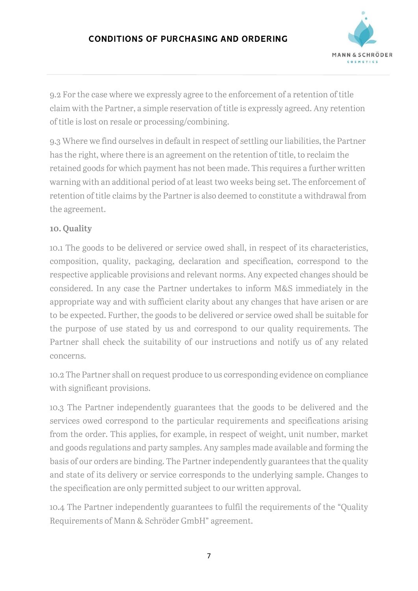

9.2 For the case where we expressly agree to the enforcement of a retention of title claim with the Partner, a simple reservation of title is expressly agreed. Any retention of title is lost on resale or processing/combining.

9.3 Where we find ourselves in default in respect of settling our liabilities, the Partner has the right, where there is an agreement on the retention of title, to reclaim the retained goods for which payment has not been made. This requires a further written warning with an additional period of at least two weeks being set. The enforcement of retention of title claims by the Partner is also deemed to constitute a withdrawal from the agreement.

# 10. Quality

10.1 The goods to be delivered or service owed shall, in respect of its characteristics, composition, quality, packaging, declaration and specification, correspond to the respective applicable provisions and relevant norms. Any expected changes should be considered. In any case the Partner undertakes to inform M&S immediately in the appropriate way and with sufficient clarity about any changes that have arisen or are to be expected. Further, the goods to be delivered or service owed shall be suitable for the purpose of use stated by us and correspond to our quality requirements. The Partner shall check the suitability of our instructions and notify us of any related concerns.

10.2 The Partner shall on request produce to us corresponding evidence on compliance with significant provisions.

10.3 The Partner independently guarantees that the goods to be delivered and the services owed correspond to the particular requirements and specifications arising from the order. This applies, for example, in respect of weight, unit number, market and goods regulations and party samples. Any samples made available and forming the basis of our orders are binding. The Partner independently guarantees that the quality and state of its delivery or service corresponds to the underlying sample. Changes to the specification are only permitted subject to our written approval.

10.4 The Partner independently guarantees to fulfil the requirements of the "Quality Requirements of Mann & Schröder GmbH" agreement.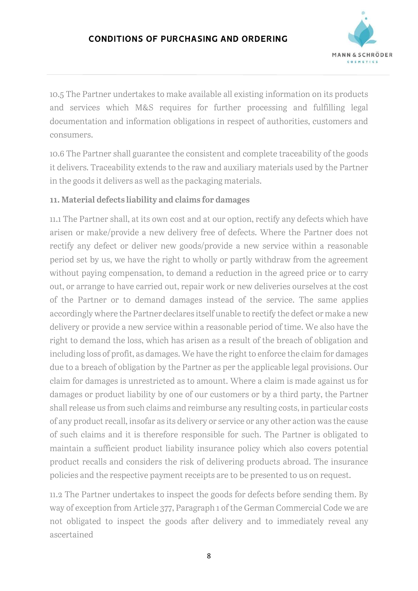

10.5 The Partner undertakes to make available all existing information on its products and services which M&S requires for further processing and fulfilling legal documentation and information obligations in respect of authorities, customers and consumers.

10.6 The Partner shall guarantee the consistent and complete traceability of the goods it delivers. Traceability extends to the raw and auxiliary materials used by the Partner in the goods it delivers as well as the packaging materials.

### 11. Material defects liability and claims for damages

11.1 The Partner shall, at its own cost and at our option, rectify any defects which have arisen or make/provide a new delivery free of defects. Where the Partner does not rectify any defect or deliver new goods/provide a new service within a reasonable period set by us, we have the right to wholly or partly withdraw from the agreement without paying compensation, to demand a reduction in the agreed price or to carry out, or arrange to have carried out, repair work or new deliveries ourselves at the cost of the Partner or to demand damages instead of the service. The same applies accordingly where the Partner declares itself unable to rectify the defect or make a new delivery or provide a new service within a reasonable period of time. We also have the right to demand the loss, which has arisen as a result of the breach of obligation and including loss of profit, as damages. We have the right to enforce the claim for damages due to a breach of obligation by the Partner as per the applicable legal provisions. Our claim for damages is unrestricted as to amount. Where a claim is made against us for damages or product liability by one of our customers or by a third party, the Partner shall release us from such claims and reimburse any resulting costs, in particular costs of any product recall, insofar as its delivery or service or any other action was the cause of such claims and it is therefore responsible for such. The Partner is obligated to maintain a sufficient product liability insurance policy which also covers potential product recalls and considers the risk of delivering products abroad. The insurance policies and the respective payment receipts are to be presented to us on request.

11.2 The Partner undertakes to inspect the goods for defects before sending them. By way of exception from Article 377, Paragraph 1 of the German Commercial Code we are not obligated to inspect the goods after delivery and to immediately reveal any ascertained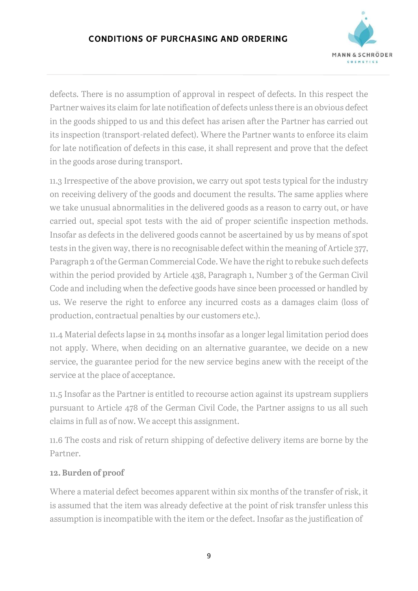# CONDITIONS OF PURCHASING AND ORDERING



defects. There is no assumption of approval in respect of defects. In this respect the Partner waives its claim for late notification of defects unless there is an obvious defect in the goods shipped to us and this defect has arisen after the Partner has carried out its inspection (transport-related defect). Where the Partner wants to enforce its claim for late notification of defects in this case, it shall represent and prove that the defect in the goods arose during transport.

11.3 Irrespective of the above provision, we carry out spot tests typical for the industry on receiving delivery of the goods and document the results. The same applies where we take unusual abnormalities in the delivered goods as a reason to carry out, or have carried out, special spot tests with the aid of proper scientific inspection methods. Insofar as defects in the delivered goods cannot be ascertained by us by means of spot tests in the given way, there is no recognisable defect within the meaning of Article 377, Paragraph 2 of the German Commercial Code. We have the right to rebuke such defects within the period provided by Article 438, Paragraph 1, Number 3 of the German Civil Code and including when the defective goods have since been processed or handled by us. We reserve the right to enforce any incurred costs as a damages claim (loss of production, contractual penalties by our customers etc.).

11.4 Material defects lapse in 24 months insofar as a longer legal limitation period does not apply. Where, when deciding on an alternative guarantee, we decide on a new service, the guarantee period for the new service begins anew with the receipt of the service at the place of acceptance.

11.5 Insofar as the Partner is entitled to recourse action against its upstream suppliers pursuant to Article 478 of the German Civil Code, the Partner assigns to us all such claims in full as of now. We accept this assignment.

11.6 The costs and risk of return shipping of defective delivery items are borne by the Partner.

#### 12. Burden of proof

Where a material defect becomes apparent within six months of the transfer of risk, it is assumed that the item was already defective at the point of risk transfer unless this assumption is incompatible with the item or the defect. Insofar as the justification of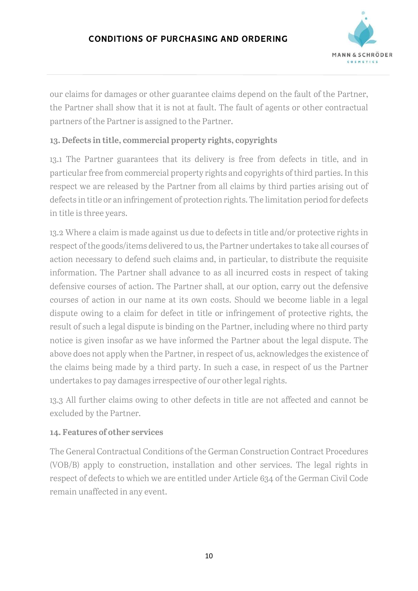

our claims for damages or other guarantee claims depend on the fault of the Partner, the Partner shall show that it is not at fault. The fault of agents or other contractual partners of the Partner is assigned to the Partner.

# 13. Defects in title, commercial property rights, copyrights

13.1 The Partner guarantees that its delivery is free from defects in title, and in particular free from commercial property rights and copyrights of third parties. In this respect we are released by the Partner from all claims by third parties arising out of defects in title or an infringement of protection rights. The limitation period for defects in title is three years.

13.2 Where a claim is made against us due to defects in title and/or protective rights in respect of the goods/items delivered to us, the Partner undertakes to take all courses of action necessary to defend such claims and, in particular, to distribute the requisite information. The Partner shall advance to as all incurred costs in respect of taking defensive courses of action. The Partner shall, at our option, carry out the defensive courses of action in our name at its own costs. Should we become liable in a legal dispute owing to a claim for defect in title or infringement of protective rights, the result of such a legal dispute is binding on the Partner, including where no third party notice is given insofar as we have informed the Partner about the legal dispute. The above does not apply when the Partner, in respect of us, acknowledges the existence of the claims being made by a third party. In such a case, in respect of us the Partner undertakes to pay damages irrespective of our other legal rights.

13.3 All further claims owing to other defects in title are not affected and cannot be excluded by the Partner.

# 14. Features of other services

The General Contractual Conditions of the German Construction Contract Procedures (VOB/B) apply to construction, installation and other services. The legal rights in respect of defects to which we are entitled under Article 634 of the German Civil Code remain unaffected in any event.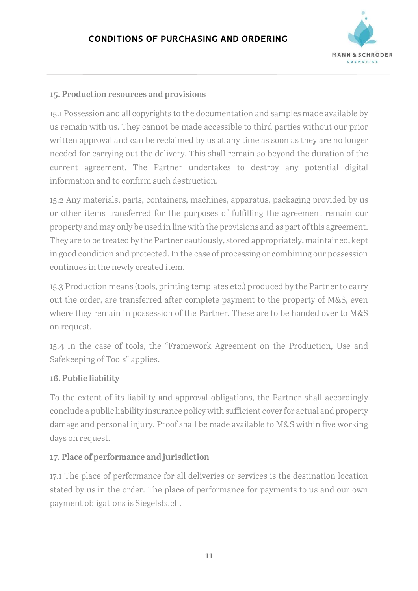

### 15. Production resources and provisions

15.1 Possession and all copyrights to the documentation and samples made available by us remain with us. They cannot be made accessible to third parties without our prior written approval and can be reclaimed by us at any time as soon as they are no longer needed for carrying out the delivery. This shall remain so beyond the duration of the current agreement. The Partner undertakes to destroy any potential digital information and to confirm such destruction.

15.2 Any materials, parts, containers, machines, apparatus, packaging provided by us or other items transferred for the purposes of fulfilling the agreement remain our property and may only be used in line with the provisions and as part of this agreement. They are to be treated by the Partner cautiously, stored appropriately, maintained, kept in good condition and protected. In the case of processing or combining our possession continues in the newly created item.

15.3 Production means (tools, printing templates etc.) produced by the Partner to carry out the order, are transferred after complete payment to the property of M&S, even where they remain in possession of the Partner. These are to be handed over to M&S on request.

15.4 In the case of tools, the "Framework Agreement on the Production, Use and Safekeeping of Tools" applies.

#### 16. Public liability

To the extent of its liability and approval obligations, the Partner shall accordingly conclude a public liability insurance policy with sufficient cover for actual and property damage and personal injury. Proof shall be made available to M&S within five working days on request.

#### 17. Place of performance and jurisdiction

17.1 The place of performance for all deliveries or services is the destination location stated by us in the order. The place of performance for payments to us and our own payment obligations is Siegelsbach.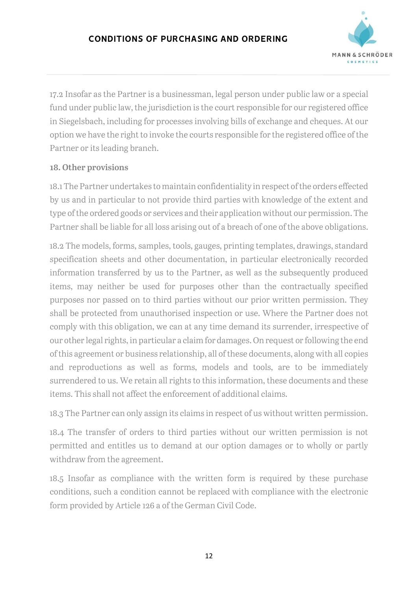

17.2 Insofar as the Partner is a businessman, legal person under public law or a special fund under public law, the jurisdiction is the court responsible for our registered office in Siegelsbach, including for processes involving bills of exchange and cheques. At our option we have the right to invoke the courts responsible for the registered office of the Partner or its leading branch.

# 18. Other provisions

18.1 The Partner undertakes to maintain confidentiality in respect of the orders effected by us and in particular to not provide third parties with knowledge of the extent and type of the ordered goods or services and their application without our permission. The Partner shall be liable for all loss arising out of a breach of one of the above obligations.

18.2 The models, forms, samples, tools, gauges, printing templates, drawings, standard specification sheets and other documentation, in particular electronically recorded information transferred by us to the Partner, as well as the subsequently produced items, may neither be used for purposes other than the contractually specified purposes nor passed on to third parties without our prior written permission. They shall be protected from unauthorised inspection or use. Where the Partner does not comply with this obligation, we can at any time demand its surrender, irrespective of our other legal rights, in particular a claim for damages. On request or following the end of this agreement or business relationship, all of these documents, along with all copies and reproductions as well as forms, models and tools, are to be immediately surrendered to us. We retain all rights to this information, these documents and these items. This shall not affect the enforcement of additional claims.

18.3 The Partner can only assign its claims in respect of us without written permission.

18.4 The transfer of orders to third parties without our written permission is not permitted and entitles us to demand at our option damages or to wholly or partly withdraw from the agreement.

18.5 Insofar as compliance with the written form is required by these purchase conditions, such a condition cannot be replaced with compliance with the electronic form provided by Article 126 a of the German Civil Code.